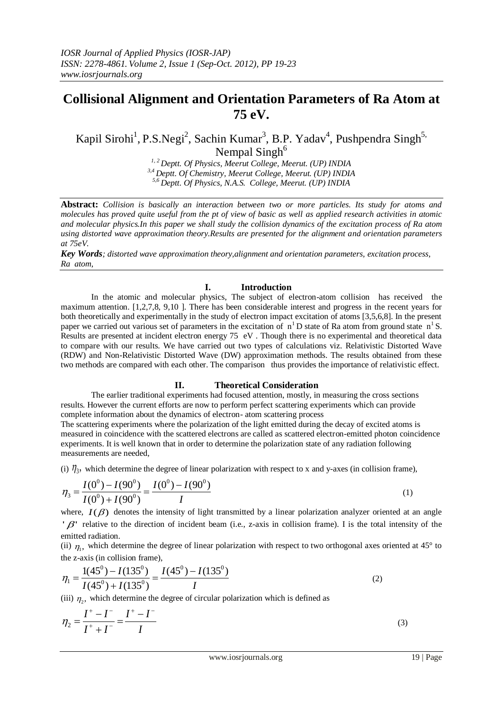# **Collisional Alignment and Orientation Parameters of Ra Atom at 75 eV.**

Kapil Sirohi<sup>1</sup>, P.S.Negi<sup>2</sup>, Sachin Kumar<sup>3</sup>, B.P. Yadav<sup>4</sup>, Pushpendra Singh<sup>5,</sup> Nempal Singh<sup>6</sup>

*1, 2 Deptt. Of Physics, Meerut College, Meerut. (UP) INDIA 3,4 Deptt. Of Chemistry, Meerut College, Meerut. (UP) INDIA 5,6 Deptt. Of Physics, N.A.S. College, Meerut. (UP) INDIA*

**Abstract:** *Collision is basically an interaction between two or more particles. Its study for atoms and molecules has proved quite useful from the pt of view of basic as well as applied research activities in atomic and molecular physics.In this paper we shall study the collision dynamics of the excitation process of Ra atom using distorted wave approximation theory.Results are presented for the alignment and orientation parameters at 75eV.*

*Key Words; distorted wave approximation theory,alignment and orientation parameters, excitation process, Ra atom,*

# **I. Introduction**

In the atomic and molecular physics, The subject of electron-atom collision has received the maximum attention. [1,2,7,8, 9,10 ]. There has been considerable interest and progress in the recent years for both theoretically and experimentally in the study of electron impact excitation of atoms [3,5,6,8]. In the present paper we carried out various set of parameters in the excitation of  $n<sup>1</sup>D$  state of Ra atom from ground state  $n<sup>1</sup>S$ . Results are presented at incident electron energy 75 eV . Though there is no experimental and theoretical data to compare with our results. We have carried out two types of calculations viz. Relativistic Distorted Wave (RDW) and Non-Relativistic Distorted Wave (DW) approximation methods. The results obtained from these two methods are compared with each other. The comparison thus provides the importance of relativistic effect.

## **II. Theoretical Consideration**

The earlier traditional experiments had focused attention, mostly, in measuring the cross sections results. However the current efforts are now to perform perfect scattering experiments which can provide complete information about the dynamics of electron- atom scattering process

The scattering experiments where the polarization of the light emitted during the decay of excited atoms is measured in coincidence with the scattered electrons are called as scattered electron-emitted photon coincidence experiments. It is well known that in order to determine the polarization state of any radiation following measurements are needed,

(i)  $\eta_3$ , which determine the degree of linear polarization with respect to x and y-axes (in collision frame),

$$
\eta_3 = \frac{I(0^0) - I(90^0)}{I(0^0) + I(90^0)} = \frac{I(0^0) - I(90^0)}{I}
$$
\n(1)

where,  $I(\beta)$  denotes the intensity of light transmitted by a linear polarization analyzer oriented at an angle  $\beta$  relative to the direction of incident beam (i.e., z-axis in collision frame). I is the total intensity of the emitted radiation.

(ii)  $\eta_1$ , which determine the degree of linear polarization with respect to two orthogonal axes oriented at 45° to the z-axis (in collision frame),

$$
\eta_1 = \frac{1(45^\circ) - I(135^\circ)}{I(45^\circ) + I(135^\circ)} = \frac{I(45^\circ) - I(135^\circ)}{I}
$$
\n(2)

(iii)  $\eta_2$ , which determine the degree of circular polarization which is defined as

$$
\eta_2 = \frac{I^+ - I^-}{I^+ + I^-} = \frac{I^+ - I^-}{I}
$$
\n(3)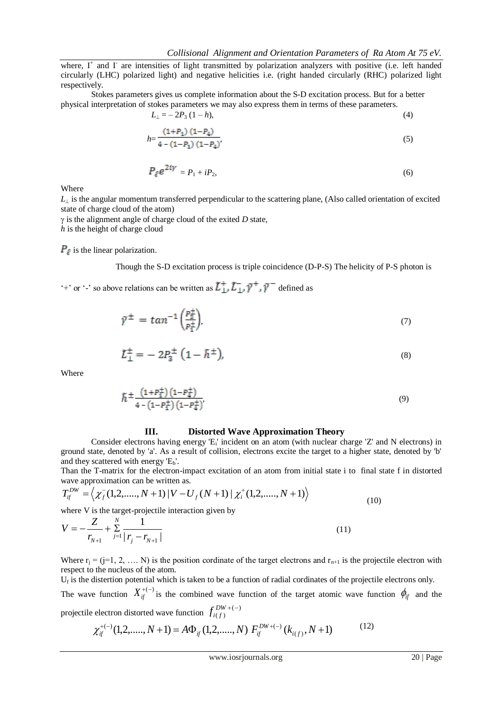where, I<sup>+</sup> and I<sup>-</sup> are intensities of light transmitted by polarization analyzers with positive (i.e. left handed circularly (LHC) polarized light) and negative helicities i.e. (right handed circularly (RHC) polarized light respectively.

Stokes parameters gives us complete information about the S-D excitation process. But for a better physical interpretation of stokes parameters we may also express them in terms of these parameters.

$$
L_{\perp} = -2P_3 (1 - h), \tag{4}
$$

$$
h = \frac{(1+P_1)(1-P_4)}{4 - (1-P_1)(1-P_4)}.\tag{5}
$$

$$
P_{\ell}e^{2iy} = P_1 + iP_2,\tag{6}
$$

Where

 $L_{\perp}$  is the angular momentum transferred perpendicular to the scattering plane, (Also called orientation of excited state of charge cloud of the atom)

 $\gamma$  is the alignment angle of charge cloud of the exited *D* state,

*h* is the height of charge cloud

 $P_{\ell}$  is the linear polarization.

Though the S-D excitation process is triple coincidence (D-P-S) The helicity of P-S photon is

'+' or '-' so above relations can be written as  $\tilde{L}^+_{\perp}, \tilde{L}^-_{\perp}, \tilde{\gamma}^+$ ,  $\tilde{\gamma}^-$  defined as

$$
\tilde{\gamma}^{\pm} = \tan^{-1}\left(\frac{p_{\frac{1}{2}}^{\pm}}{p_{\frac{1}{2}}^{\pm}}\right),\tag{7}
$$

$$
\tilde{L}_{\perp}^{\pm} = -2P_3^{\pm} (1 - \tilde{h}^{\pm}), \tag{8}
$$

Where

$$
\widetilde{h} \pm \frac{\left(1 + P_{\pm}^{\pm}\right)\left(1 - P_{\pm}^{\pm}\right)}{4 - \left(1 - P_{\pm}^{\pm}\right)\left(1 - P_{\pm}^{\pm}\right)},\tag{9}
$$

### **III. Distorted Wave Approximation Theory**

Consider electrons having energy 'E<sub>i</sub>' incident on an atom (with nuclear charge 'Z' and N electrons) in ground state, denoted by 'a'. As a result of collision, electrons excite the target to a higher state, denoted by 'b' and they scattered with energy  $'E<sub>b</sub>$ .

Than the T-matrix for the electron-impact excitation of an atom from initial state i to final state f in distorted wave approximation can be written as.

$$
T_{if}^{DW} = \left\langle \chi_f^-(1, 2, \dots, N+1) \left| V - U_f(N+1) \right| \chi_i^+(1, 2, \dots, N+1) \right\rangle
$$
\nwhere V is the target projectile interaction given by

\n
$$
\left\langle \chi_f^-(1, 2, \dots, N+1) \left| V - U_f(N+1) \right| \right\rangle \tag{10}
$$

where V is the target-projectile interaction given by

$$
V = -\frac{Z}{r_{N+1}} + \sum_{j=1}^{N} \frac{1}{|r_j - r_{N+1}|}
$$
(11)

Where  $r_i = (i=1, 2, \ldots, N)$  is the position cordinate of the target electrons and  $r_{n+1}$  is the projectile electron with respect to the nucleus of the atom.

 $U_f$  is the distertion potential which is taken to be a function of radial cordinates of the projectile electrons only.

The wave function  $X_{if}^{+(-)}$  is the combined wave function of the target atomic wave function  $\phi_{if}$  and the projectile electron distorted wave function  $f_{i(f)}^{DW+(-)}$  $(f)$  $DW + ($  $f_{i(f)}^{DW+(-)}$ 

$$
\chi_{if}^{+(-)}(1,2, \ldots, N+1) = A\Phi_{if}(1,2, \ldots, N) \ F_{if}^{DW+(-)}(k_{i(f)}, N+1) \tag{12}
$$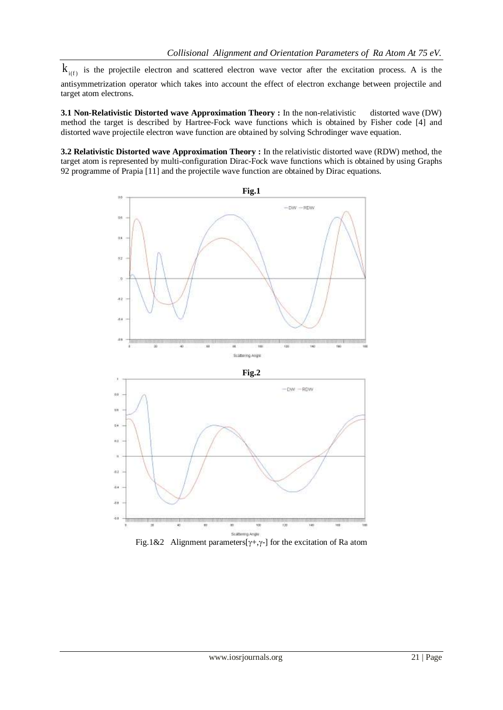$k_{i(f)}$  is the projectile electron and scattered electron wave vector after the excitation process. A is the antisymmetrization operator which takes into account the effect of electron exchange between projectile and target atom electrons.

**3.1 Non-Relativistic Distorted wave Approximation Theory :** In the non-relativistic distorted wave (DW) method the target is described by Hartree-Fock wave functions which is obtained by Fisher code [4] and distorted wave projectile electron wave function are obtained by solving Schrodinger wave equation.

**3.2 Relativistic Distorted wave Approximation Theory :** In the relativistic distorted wave (RDW) method, the target atom is represented by multi-configuration Dirac-Fock wave functions which is obtained by using Graphs 92 programme of Prapia [11] and the projectile wave function are obtained by Dirac equations.



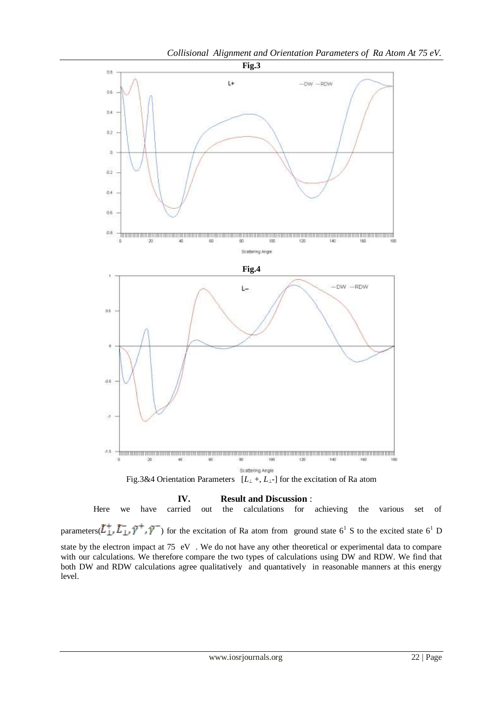

**IV. Result and Discussion** : carried out the calculations for Here we have carried out the calculations for achieving the various set of parameters( $L_1^+, L_1^-, \tilde{\gamma}^-, \tilde{\gamma}^-$ ) for the excitation of Ra atom from ground state  $6^1$  S to the excited state  $6^1$  D state by the electron impact at 75 eV . We do not have any other theoretical or experimental data to compare with our calculations. We therefore compare the two types of calculations using DW and RDW. We find that both DW and RDW calculations agree qualitatively and quantatively in reasonable manners at this energy level.